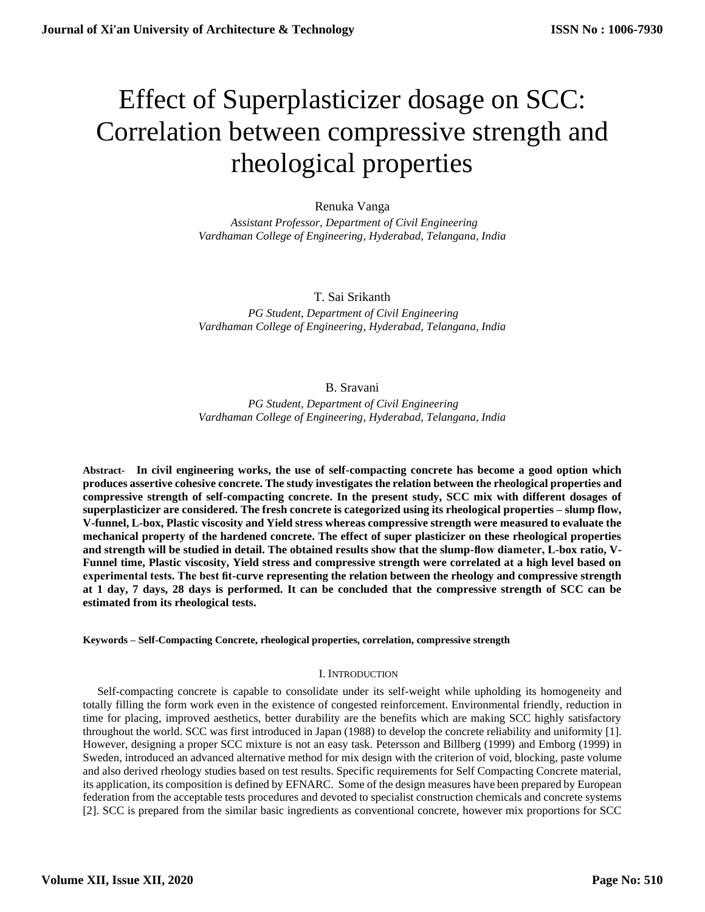# Effect of Superplasticizer dosage on SCC: Correlation between compressive strength and rheological properties

# Renuka Vanga

 *Assistant Professor, Department of Civil Engineering Vardhaman College of Engineering, Hyderabad, Telangana, India*

## T. Sai Srikanth

*PG Student, Department of Civil Engineering Vardhaman College of Engineering, Hyderabad, Telangana, India*

### B. Sravani

*PG Student, Department of Civil Engineering Vardhaman College of Engineering, Hyderabad, Telangana, India*

**Abstract- In civil engineering works, the use of self-compacting concrete has become a good option which produces assertive cohesive concrete. The study investigates the relation between the rheological properties and compressive strength of self-compacting concrete. In the present study, SCC mix with different dosages of superplasticizer are considered. The fresh concrete is categorized using its rheological properties – slump flow, V-funnel, L-box, Plastic viscosity and Yield stress whereas compressive strength were measured to evaluate the mechanical property of the hardened concrete. The effect of super plasticizer on these rheological properties and strength will be studied in detail. The obtained results show that the slump-flow diameter, L-box ratio, V-Funnel time, Plastic viscosity, Yield stress and compressive strength were correlated at a high level based on experimental tests. The best fit-curve representing the relation between the rheology and compressive strength at 1 day, 7 days, 28 days is performed. It can be concluded that the compressive strength of SCC can be estimated from its rheological tests.**

**Keywords – Self-Compacting Concrete, rheological properties, correlation, compressive strength**

#### I. INTRODUCTION

 Self-compacting concrete is capable to consolidate under its self-weight while upholding its homogeneity and totally filling the form work even in the existence of congested reinforcement. Environmental friendly, reduction in time for placing, improved aesthetics, better durability are the benefits which are making SCC highly satisfactory throughout the world. SCC was first introduced in Japan (1988) to develop the concrete reliability and uniformity [1]. However, designing a proper SCC mixture is not an easy task. Petersson and Billberg (1999) and Emborg (1999) in Sweden, introduced an advanced alternative method for mix design with the criterion of void, blocking, paste volume and also derived rheology studies based on test results. Specific requirements for Self Compacting Concrete material, its application, its composition is defined by EFNARC. Some of the design measures have been prepared by European federation from the acceptable tests procedures and devoted to specialist construction chemicals and concrete systems [2]. SCC is prepared from the similar basic ingredients as conventional concrete, however mix proportions for SCC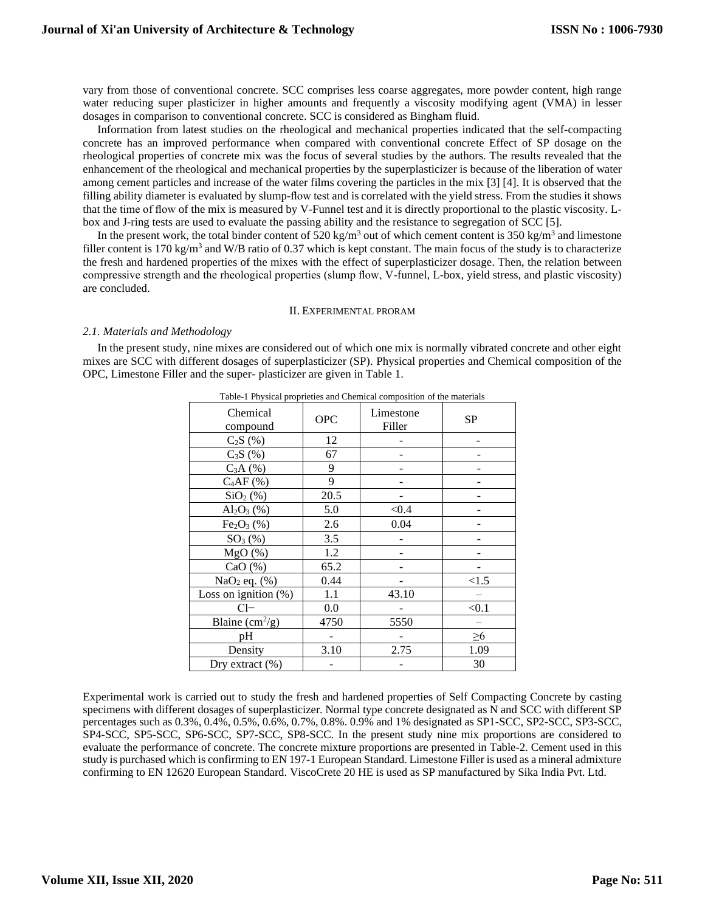vary from those of conventional concrete. SCC comprises less coarse aggregates, more powder content, high range water reducing super plasticizer in higher amounts and frequently a viscosity modifying agent (VMA) in lesser dosages in comparison to conventional concrete. SCC is considered as Bingham fluid.

 Information from latest studies on the rheological and mechanical properties indicated that the self-compacting concrete has an improved performance when compared with conventional concrete Effect of SP dosage on the rheological properties of concrete mix was the focus of several studies by the authors. The results revealed that the enhancement of the rheological and mechanical properties by the superplasticizer is because of the liberation of water among cement particles and increase of the water films covering the particles in the mix [3] [4]. It is observed that the filling ability diameter is evaluated by slump-flow test and is correlated with the yield stress. From the studies it shows that the time of flow of the mix is measured by V-Funnel test and it is directly proportional to the plastic viscosity. Lbox and J-ring tests are used to evaluate the passing ability and the resistance to segregation of SCC [5].

In the present work, the total binder content of 520 kg/m<sup>3</sup> out of which cement content is 350 kg/m<sup>3</sup> and limestone filler content is 170 kg/m<sup>3</sup> and W/B ratio of 0.37 which is kept constant. The main focus of the study is to characterize the fresh and hardened properties of the mixes with the effect of superplasticizer dosage. Then, the relation between compressive strength and the rheological properties (slump flow, V-funnel, L-box, yield stress, and plastic viscosity) are concluded.

#### II. EXPERIMENTAL PRORAM

#### *2.1. Materials and Methodology*

 In the present study, nine mixes are considered out of which one mix is normally vibrated concrete and other eight mixes are SCC with different dosages of superplasticizer (SP). Physical properties and Chemical composition of the OPC, Limestone Filler and the super- plasticizer are given in Table 1.

| Chemical<br>compound               | <b>OPC</b> | Limestone<br>Filler | SP       |
|------------------------------------|------------|---------------------|----------|
| $C_2S(%)$                          | 12         |                     |          |
| $C_3S(%)$                          | 67         |                     |          |
| C <sub>3</sub> A <sub>(%</sub> )   | 9          |                     |          |
| $C_4AF(%)$                         | 9          |                     |          |
| SiO <sub>2</sub> (% )              | 20.5       |                     |          |
| $Al_2O_3$ (%)                      | 5.0        | < 0.4               |          |
| Fe <sub>2</sub> O <sub>3</sub> (%) | 2.6        | 0.04                |          |
| $SO_3(%)$                          | 3.5        |                     |          |
| MgO(%)                             | 1.2        |                     |          |
| CaO $(\% )$                        | 65.2       |                     |          |
| $NaO2$ eq. $(\%)$                  | 0.44       |                     | < 1.5    |
| Loss on ignition $(\%)$            | 1.1        | 43.10               |          |
| $Cl-$                              | 0.0        |                     | < 0.1    |
| Blaine $\text{cm}^2/\text{g}$ )    | 4750       | 5550                |          |
| pH                                 |            |                     | $\geq 6$ |
| Density                            | 3.10       | 2.75                | 1.09     |
| Dry extract $(\% )$                |            |                     | 30       |

Table-1 Physical proprieties and Chemical composition of the materials

Experimental work is carried out to study the fresh and hardened properties of Self Compacting Concrete by casting specimens with different dosages of superplasticizer. Normal type concrete designated as N and SCC with different SP percentages such as 0.3%, 0.4%, 0.5%, 0.6%, 0.7%, 0.8%. 0.9% and 1% designated as SP1-SCC, SP2-SCC, SP3-SCC, SP4-SCC, SP5-SCC, SP6-SCC, SP7-SCC, SP8-SCC. In the present study nine mix proportions are considered to evaluate the performance of concrete. The concrete mixture proportions are presented in Table-2. Cement used in this study is purchased which is confirming to EN 197-1 European Standard. Limestone Filler is used as a mineral admixture confirming to EN 12620 European Standard. ViscoCrete 20 HE is used as SP manufactured by Sika India Pvt. Ltd.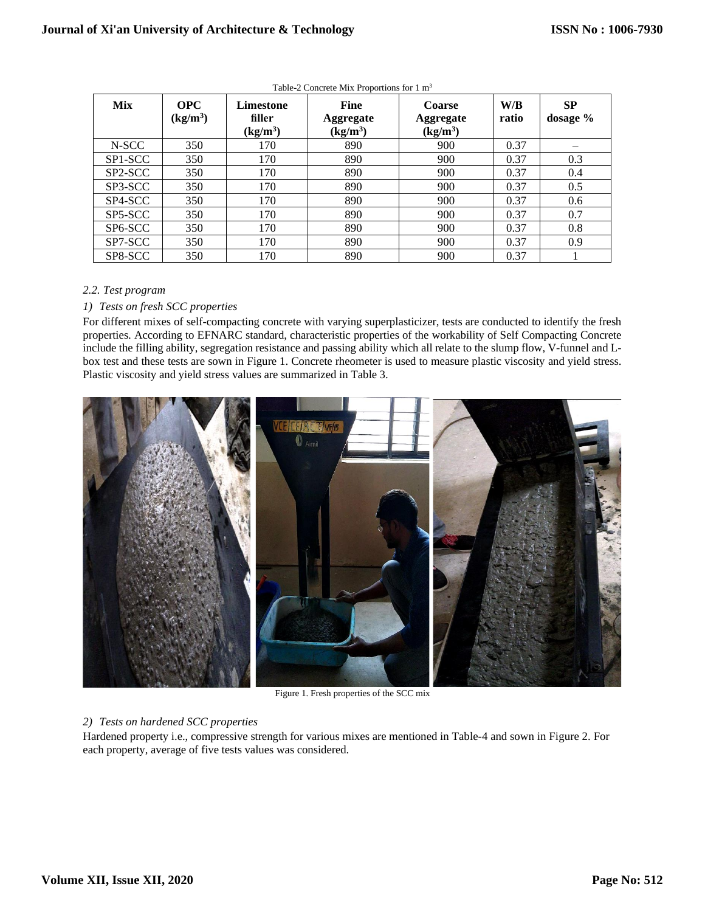| <b>Mix</b> | <b>OPC</b><br>(kg/m <sup>3</sup> ) | Limestone<br>filler<br>(kg/m <sup>3</sup> ) | <b>Fine</b><br>Aggregate<br>(kg/m <sup>3</sup> ) | <b>Coarse</b><br><b>Aggregate</b><br>$\frac{\text{(kg/m}^3)}{}$ | W/B<br>ratio | <b>SP</b><br>dosage % |
|------------|------------------------------------|---------------------------------------------|--------------------------------------------------|-----------------------------------------------------------------|--------------|-----------------------|
| N-SCC      | 350                                | 170                                         | 890                                              | 900                                                             | 0.37         |                       |
| SP1-SCC    | 350                                | 170                                         | 890                                              | 900                                                             | 0.37         | 0.3                   |
| SP2-SCC    | 350                                | 170                                         | 890                                              | 900                                                             | 0.37         | 0.4                   |
| SP3-SCC    | 350                                | 170                                         | 890                                              | 900                                                             | 0.37         | 0.5                   |
| SP4-SCC    | 350                                | 170                                         | 890                                              | 900                                                             | 0.37         | 0.6                   |
| SP5-SCC    | 350                                | 170                                         | 890                                              | 900                                                             | 0.37         | 0.7                   |
| SP6-SCC    | 350                                | 170                                         | 890                                              | 900                                                             | 0.37         | 0.8                   |
| SP7-SCC    | 350                                | 170                                         | 890                                              | 900                                                             | 0.37         | 0.9                   |
| SP8-SCC    | 350                                | 170                                         | 890                                              | 900                                                             | 0.37         |                       |

Table-2 Concrete Mix Proportions for 1 m<sup>3</sup>

#### *2.2. Test program*

#### *1) Tests on fresh SCC properties*

For different mixes of self-compacting concrete with varying superplasticizer, tests are conducted to identify the fresh properties. According to EFNARC standard, characteristic properties of the workability of Self Compacting Concrete include the filling ability, segregation resistance and passing ability which all relate to the slump flow, V-funnel and Lbox test and these tests are sown in Figure 1. Concrete rheometer is used to measure plastic viscosity and yield stress. Plastic viscosity and yield stress values are summarized in Table 3.



Figure 1. Fresh properties of the SCC mix

#### *2) Tests on hardened SCC properties*

Hardened property i.e., compressive strength for various mixes are mentioned in Table-4 and sown in Figure 2. For each property, average of five tests values was considered.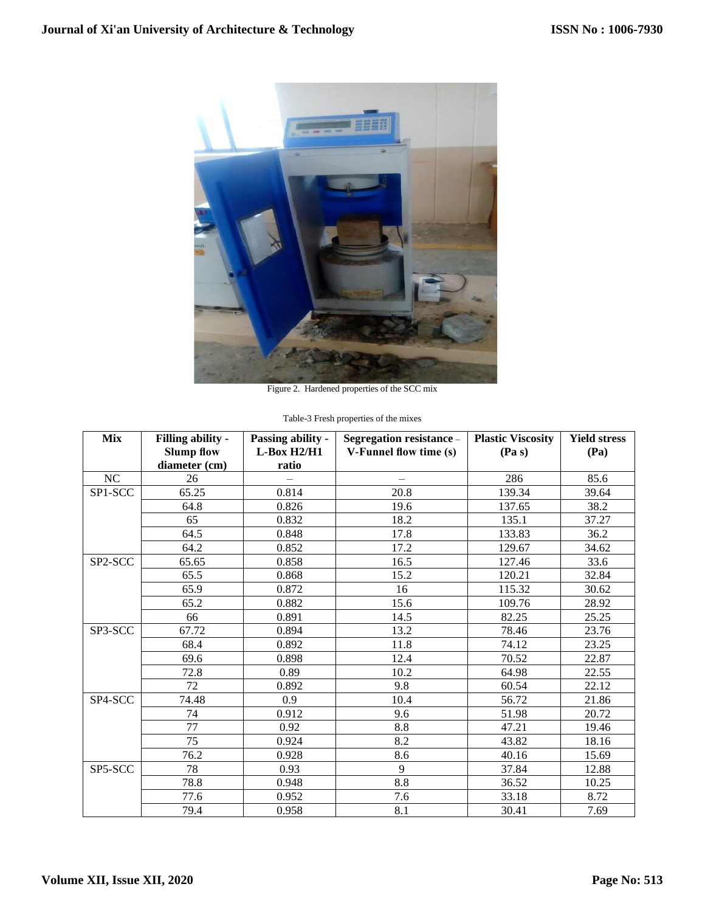

Figure 2. Hardened properties of the SCC mix

|  | Table-3 Fresh properties of the mixes |  |
|--|---------------------------------------|--|
|  |                                       |  |

| <b>Mix</b> | <b>Filling ability -</b><br><b>Slump flow</b><br>diameter (cm) | Passing ability -<br>$L$ -Box H2/H1<br>ratio | Segregation resistance -<br>V-Funnel flow time (s) | <b>Plastic Viscosity</b><br>(Pa s) | <b>Yield stress</b><br>(Pa) |
|------------|----------------------------------------------------------------|----------------------------------------------|----------------------------------------------------|------------------------------------|-----------------------------|
| NC         | 26                                                             |                                              |                                                    | 286                                | 85.6                        |
| SP1-SCC    | 65.25                                                          | 0.814                                        | 20.8                                               | 139.34                             | 39.64                       |
|            | 64.8                                                           | 0.826                                        | 19.6                                               | 137.65                             | 38.2                        |
|            | 65                                                             | 0.832                                        | 18.2                                               | 135.1                              | 37.27                       |
|            | 64.5                                                           | 0.848                                        | 17.8                                               | 133.83                             | 36.2                        |
|            | 64.2                                                           | 0.852                                        | 17.2                                               | 129.67                             | 34.62                       |
| SP2-SCC    | 65.65                                                          | 0.858                                        | 16.5                                               | 127.46                             | 33.6                        |
|            | 65.5                                                           | 0.868                                        | 15.2                                               | 120.21                             | 32.84                       |
|            | 65.9                                                           | 0.872                                        | 16                                                 | 115.32                             | 30.62                       |
|            | 65.2                                                           | 0.882                                        | 15.6                                               | 109.76                             | 28.92                       |
|            | 66                                                             | 0.891                                        | 14.5                                               | 82.25                              | 25.25                       |
| SP3-SCC    | 67.72                                                          | 0.894                                        | 13.2                                               | 78.46                              | 23.76                       |
|            | 68.4                                                           | 0.892                                        | 11.8                                               | 74.12                              | 23.25                       |
|            | 69.6                                                           | 0.898                                        | 12.4                                               | 70.52                              | 22.87                       |
|            | 72.8                                                           | 0.89                                         | 10.2                                               | 64.98                              | 22.55                       |
|            | 72                                                             | 0.892                                        | 9.8                                                | 60.54                              | 22.12                       |
| SP4-SCC    | 74.48                                                          | 0.9                                          | 10.4                                               | 56.72                              | 21.86                       |
|            | 74                                                             | 0.912                                        | 9.6                                                | 51.98                              | 20.72                       |
|            | 77                                                             | 0.92                                         | 8.8                                                | 47.21                              | 19.46                       |
|            | 75                                                             | 0.924                                        | 8.2                                                | 43.82                              | 18.16                       |
|            | 76.2                                                           | 0.928                                        | 8.6                                                | 40.16                              | 15.69                       |
| SP5-SCC    | 78                                                             | 0.93                                         | 9                                                  | 37.84                              | 12.88                       |
|            | 78.8                                                           | 0.948                                        | 8.8                                                | 36.52                              | 10.25                       |
|            | 77.6                                                           | 0.952                                        | 7.6                                                | 33.18                              | 8.72                        |
|            | 79.4                                                           | 0.958                                        | 8.1                                                | 30.41                              | 7.69                        |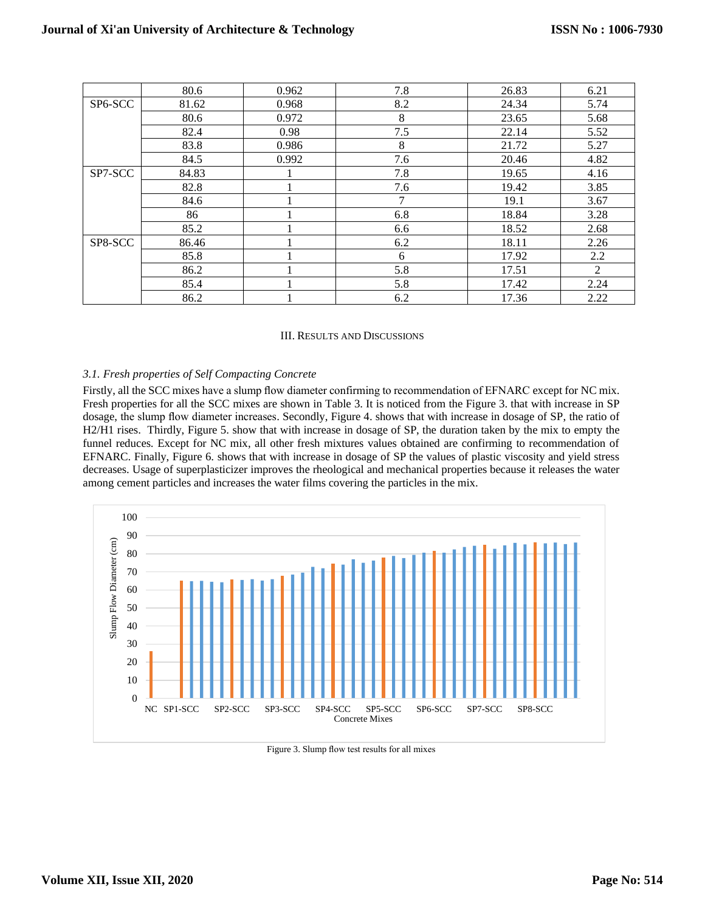|         | 80.6  | 0.962 | 7.8 | 26.83 | 6.21 |
|---------|-------|-------|-----|-------|------|
| SP6-SCC | 81.62 | 0.968 | 8.2 | 24.34 | 5.74 |
|         | 80.6  | 0.972 | 8   | 23.65 | 5.68 |
|         | 82.4  | 0.98  | 7.5 | 22.14 | 5.52 |
|         | 83.8  | 0.986 | 8   | 21.72 | 5.27 |
|         | 84.5  | 0.992 | 7.6 | 20.46 | 4.82 |
| SP7-SCC | 84.83 |       | 7.8 | 19.65 | 4.16 |
|         | 82.8  |       | 7.6 | 19.42 | 3.85 |
|         | 84.6  |       | 7   | 19.1  | 3.67 |
|         | 86    |       | 6.8 | 18.84 | 3.28 |
|         | 85.2  |       | 6.6 | 18.52 | 2.68 |
| SP8-SCC | 86.46 |       | 6.2 | 18.11 | 2.26 |
|         | 85.8  |       | 6   | 17.92 | 2.2  |
|         | 86.2  |       | 5.8 | 17.51 | 2    |
|         | 85.4  |       | 5.8 | 17.42 | 2.24 |
|         | 86.2  |       | 6.2 | 17.36 | 2.22 |

#### III. RESULTS AND DISCUSSIONS

#### *3.1. Fresh properties of Self Compacting Concrete*

Firstly, all the SCC mixes have a slump flow diameter confirming to recommendation of EFNARC except for NC mix. Fresh properties for all the SCC mixes are shown in Table 3. It is noticed from the Figure 3. that with increase in SP dosage, the slump flow diameter increases. Secondly, Figure 4. shows that with increase in dosage of SP, the ratio of H2/H1 rises. Thirdly, Figure 5. show that with increase in dosage of SP, the duration taken by the mix to empty the funnel reduces. Except for NC mix, all other fresh mixtures values obtained are confirming to recommendation of EFNARC. Finally, Figure 6. shows that with increase in dosage of SP the values of plastic viscosity and yield stress decreases. Usage of superplasticizer improves the rheological and mechanical properties because it releases the water among cement particles and increases the water films covering the particles in the mix.



Figure 3. Slump flow test results for all mixes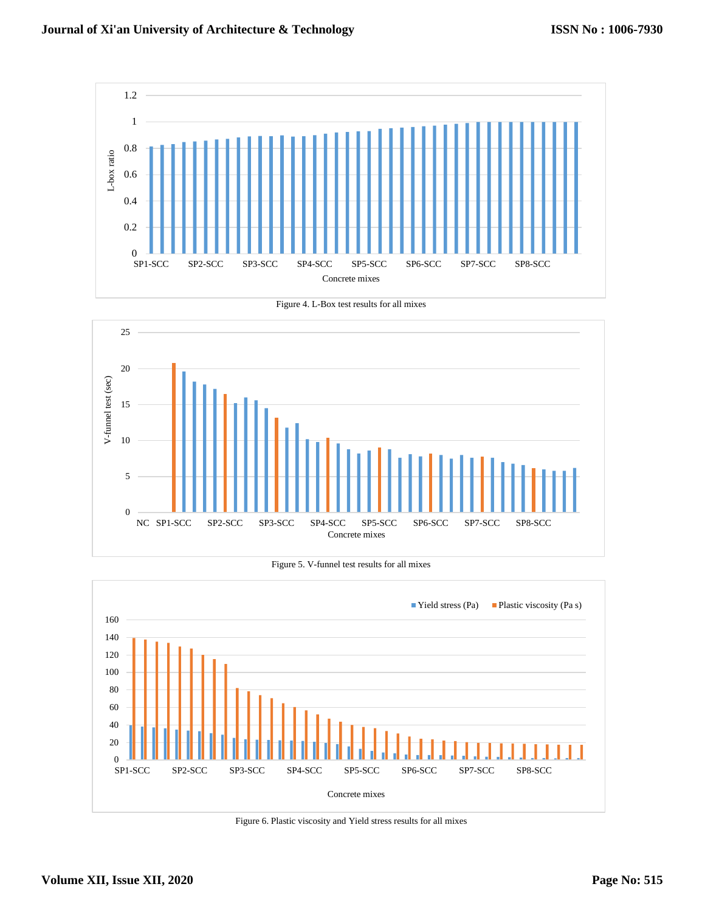





Figure 5. V-funnel test results for all mixes



Figure 6. Plastic viscosity and Yield stress results for all mixes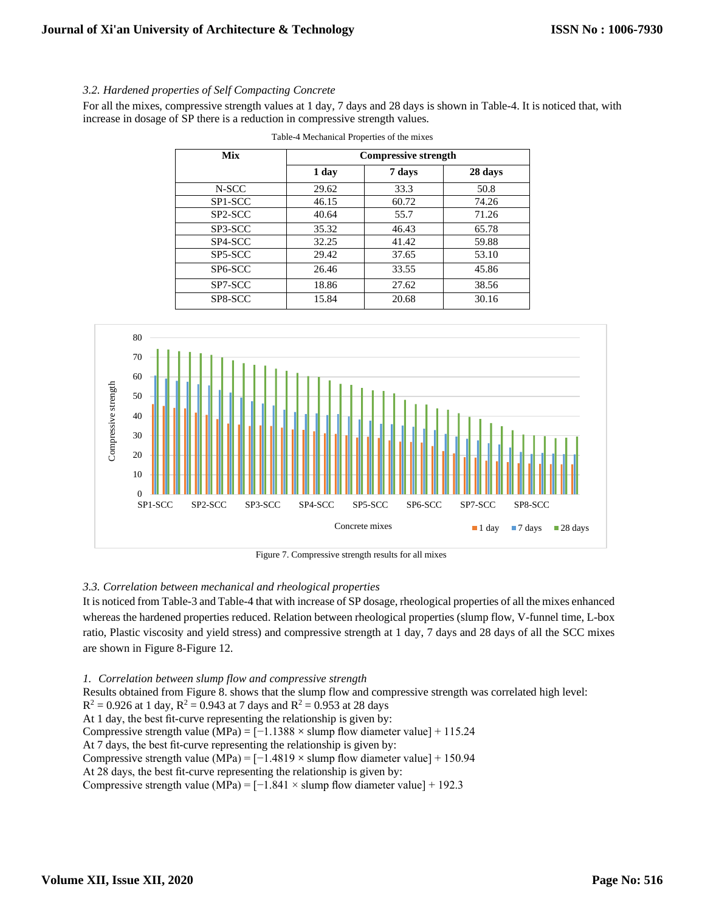#### *3.2. Hardened properties of Self Compacting Concrete*

For all the mixes, compressive strength values at 1 day, 7 days and 28 days is shown in Table-4. It is noticed that, with increase in dosage of SP there is a reduction in compressive strength values.

| Mix                  | <b>Compressive strength</b> |        |         |  |
|----------------------|-----------------------------|--------|---------|--|
|                      | 1 day                       | 7 days | 28 days |  |
| N-SCC                | 29.62                       | 33.3   | 50.8    |  |
| SP1-SCC              | 46.15                       | 60.72  | 74.26   |  |
| SP <sub>2</sub> -SCC | 40.64                       | 55.7   | 71.26   |  |
| SP3-SCC              | 35.32                       | 46.43  | 65.78   |  |
| SP4-SCC              | 32.25                       | 41.42  | 59.88   |  |
| SP5-SCC              | 29.42                       | 37.65  | 53.10   |  |
| SP <sub>6</sub> -SCC | 26.46                       | 33.55  | 45.86   |  |
| SP7-SCC              | 18.86                       | 27.62  | 38.56   |  |
| SP8-SCC              | 15.84                       | 20.68  | 30.16   |  |

Table-4 Mechanical Properties of the mixes



#### *3.3. Correlation between mechanical and rheological properties*

It is noticed from Table-3 and Table-4 that with increase of SP dosage, rheological properties of all the mixes enhanced whereas the hardened properties reduced. Relation between rheological properties (slump flow, V-funnel time, L-box ratio, Plastic viscosity and yield stress) and compressive strength at 1 day, 7 days and 28 days of all the SCC mixes are shown in Figure 8-Figure 12.

*1. Correlation between slump flow and compressive strength* Results obtained from Figure 8. shows that the slump flow and compressive strength was correlated high level:  $R^2 = 0.926$  at 1 day,  $R^2 = 0.943$  at 7 days and  $R^2 = 0.953$  at 28 days At 1 day, the best fit-curve representing the relationship is given by: Compressive strength value (MPa) =  $[-1.1388 \times$  slump flow diameter value] + 115.24 At 7 days, the best fit-curve representing the relationship is given by: Compressive strength value (MPa) =  $[-1.4819 \times$  slump flow diameter value] + 150.94 At 28 days, the best fit-curve representing the relationship is given by: Compressive strength value (MPa) =  $[-1.841 \times$  slump flow diameter value] + 192.3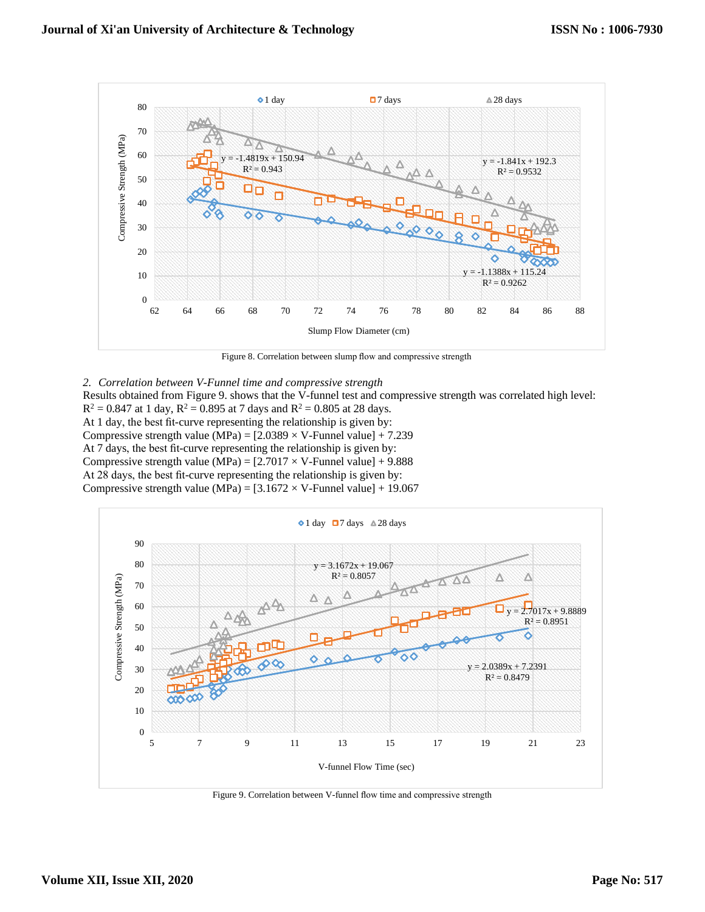

Figure 8. Correlation between slump flow and compressive strength

*2. Correlation between V-Funnel time and compressive strength* Results obtained from Figure 9. shows that the V-funnel test and compressive strength was correlated high level:  $R^2 = 0.847$  at 1 day,  $R^2 = 0.895$  at 7 days and  $R^2 = 0.805$  at 28 days. At 1 day, the best fit-curve representing the relationship is given by: Compressive strength value (MPa) =  $[2.0389 \times V$ -Funnel value] + 7.239 At 7 days, the best fit-curve representing the relationship is given by: Compressive strength value (MPa) =  $[2.7017 \times V$ -Funnel value] + 9.888 At 28 days, the best fit-curve representing the relationship is given by: Compressive strength value (MPa) =  $[3.1672 \times V$ -Funnel value] + 19.067



Figure 9. Correlation between V-funnel flow time and compressive strength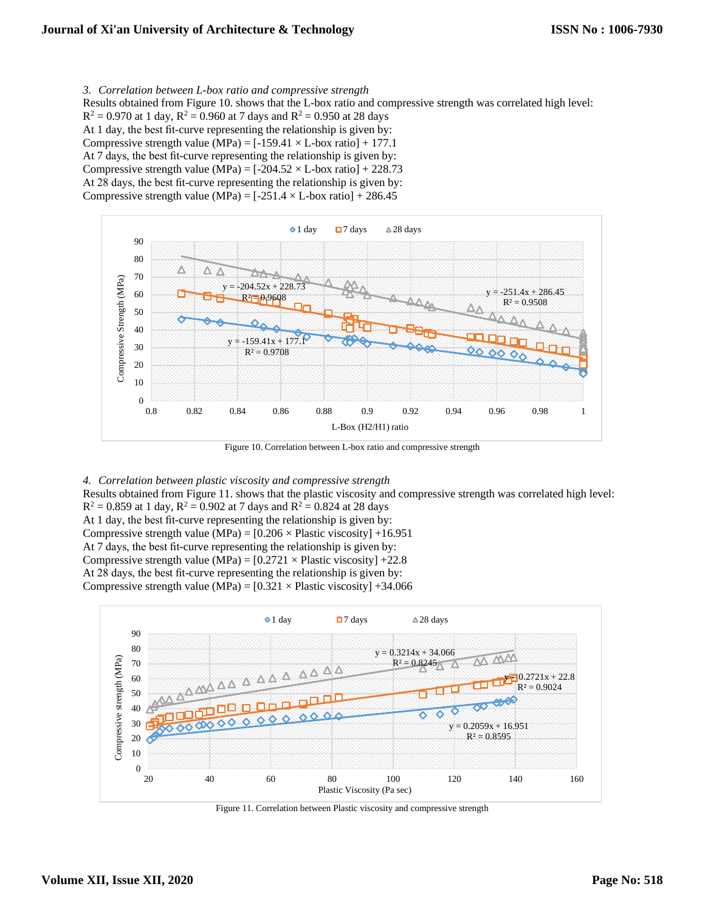*3. Correlation between L-box ratio and compressive strength* Results obtained from Figure 10. shows that the L-box ratio and compressive strength was correlated high level:  $R^2 = 0.970$  at 1 day,  $R^2 = 0.960$  at 7 days and  $R^2 = 0.950$  at 28 days At 1 day, the best fit-curve representing the relationship is given by: Compressive strength value (MPa) =  $[-159.41 \times L$ -box ratio] + 177.1

At 7 days, the best fit-curve representing the relationship is given by: Compressive strength value (MPa) =  $[-204.52 \times L$ -box ratio] + 228.73 At 28 days, the best fit-curve representing the relationship is given by:

Compressive strength value (MPa) =  $[-251.4 \times L$ -box ratio] + 286.45



Figure 10. Correlation between L-box ratio and compressive strength

*4. Correlation between plastic viscosity and compressive strength*

Results obtained from Figure 11. shows that the plastic viscosity and compressive strength was correlated high level:  $R^2 = 0.859$  at 1 day,  $R^2 = 0.902$  at 7 days and  $R^2 = 0.824$  at 28 days

At 1 day, the best fit-curve representing the relationship is given by:

- Compressive strength value (MPa) =  $[0.206 \times$  Plastic viscosity] +16.951
- At 7 days, the best fit-curve representing the relationship is given by:
- Compressive strength value (MPa) =  $[0.2721 \times$  Plastic viscosity] +22.8
- At 28 days, the best fit-curve representing the relationship is given by:

Compressive strength value (MPa) =  $[0.321 \times$  Plastic viscosity] +34.066



Figure 11. Correlation between Plastic viscosity and compressive strength